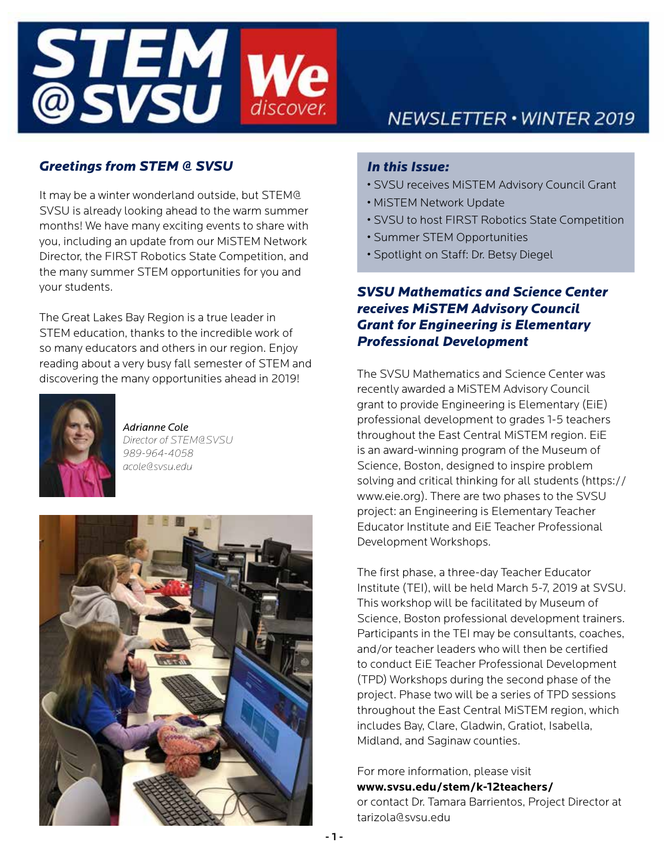

# NEWSLETTER · WINTER 2019

# *Greetings from STEM @ SVSU*

It may be a winter wonderland outside, but STEM@ SVSU is already looking ahead to the warm summer months! We have many exciting events to share with you, including an update from our MiSTEM Network Director, the FIRST Robotics State Competition, and the many summer STEM opportunities for you and your students.

The Great Lakes Bay Region is a true leader in STEM education, thanks to the incredible work of so many educators and others in our region. Enjoy reading about a very busy fall semester of STEM and discovering the many opportunities ahead in 2019!



*Adrianne Cole Director of STEM@SVSU 989-964-4058 acole@svsu.edu*



# *In this Issue:*

- SVSU receives MiSTEM Advisory Council Grant
- MiSTEM Network Update
- SVSU to host FIRST Robotics State Competition
- Summer STEM Opportunities
- Spotlight on Staff: Dr. Betsy Diegel

# *SVSU Mathematics and Science Center receives MiSTEM Advisory Council Grant for Engineering is Elementary Professional Development*

The SVSU Mathematics and Science Center was recently awarded a MiSTEM Advisory Council grant to provide Engineering is Elementary (EiE) professional development to grades 1-5 teachers throughout the East Central MiSTEM region. EiE is an award-winning program of the Museum of Science, Boston, designed to inspire problem solving and critical thinking for all students (https:// www.eie.org). There are two phases to the SVSU project: an Engineering is Elementary Teacher Educator Institute and EiE Teacher Professional Development Workshops.

The first phase, a three-day Teacher Educator Institute (TEI), will be held March 5-7, 2019 at SVSU. This workshop will be facilitated by Museum of Science, Boston professional development trainers. Participants in the TEI may be consultants, coaches, and/or teacher leaders who will then be certified to conduct EiE Teacher Professional Development (TPD) Workshops during the second phase of the project. Phase two will be a series of TPD sessions throughout the East Central MiSTEM region, which includes Bay, Clare, Gladwin, Gratiot, Isabella, Midland, and Saginaw counties.

For more information, please visit **www.svsu.edu/stem/k-12teachers/** or contact Dr. Tamara Barrientos, Project Director at tarizola@svsu.edu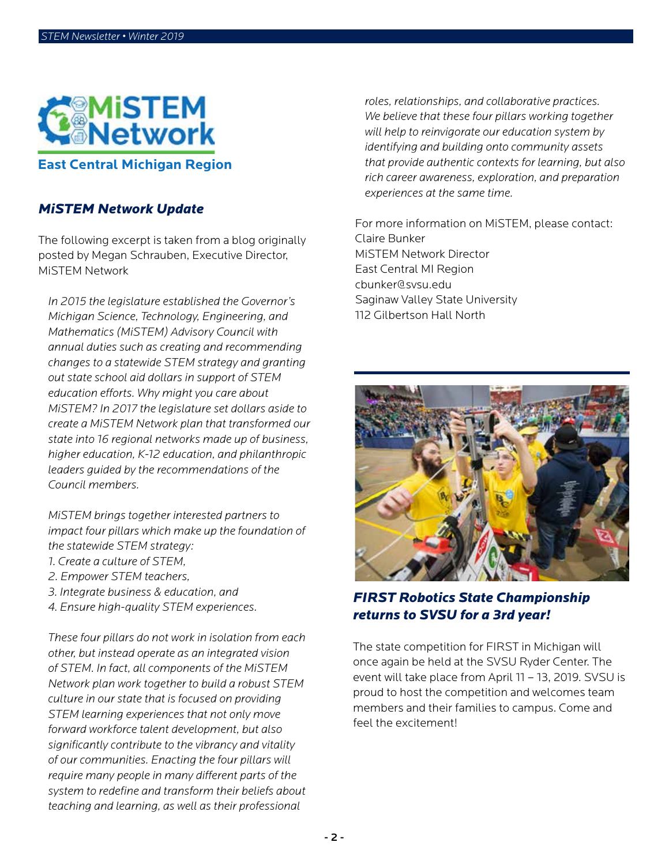

## *MiSTEM Network Update*

The following excerpt is taken from a blog originally posted by Megan Schrauben, Executive Director, MiSTEM Network

*In 2015 the legislature established the Governor's Michigan Science, Technology, Engineering, and Mathematics (MiSTEM) Advisory Council with annual duties such as creating and recommending changes to a statewide STEM strategy and granting out state school aid dollars in support of STEM education efforts. Why might you care about MiSTEM? In 2017 the legislature set dollars aside to create a MiSTEM Network plan that transformed our state into 16 regional networks made up of business, higher education, K-12 education, and philanthropic leaders guided by the recommendations of the Council members.*

*MiSTEM brings together interested partners to impact four pillars which make up the foundation of the statewide STEM strategy:*

- *1. Create a culture of STEM,*
- *2. Empower STEM teachers,*
- *3. Integrate business & education, and*
- *4. Ensure high-quality STEM experiences.*

*These four pillars do not work in isolation from each other, but instead operate as an integrated vision of STEM. In fact, all components of the MiSTEM Network plan work together to build a robust STEM culture in our state that is focused on providing STEM learning experiences that not only move forward workforce talent development, but also significantly contribute to the vibrancy and vitality of our communities. Enacting the four pillars will require many people in many different parts of the system to redefine and transform their beliefs about teaching and learning, as well as their professional* 

*roles, relationships, and collaborative practices. We believe that these four pillars working together will help to reinvigorate our education system by identifying and building onto community assets that provide authentic contexts for learning, but also rich career awareness, exploration, and preparation experiences at the same time.*

For more information on MiSTEM, please contact: Claire Bunker MiSTEM Network Director East Central MI Region cbunker@svsu.edu Saginaw Valley State University 112 Gilbertson Hall North



*FIRST Robotics State Championship returns to SVSU for a 3rd year!* 

The state competition for FIRST in Michigan will once again be held at the SVSU Ryder Center. The event will take place from April 11 – 13, 2019. SVSU is proud to host the competition and welcomes team members and their families to campus. Come and feel the excitement!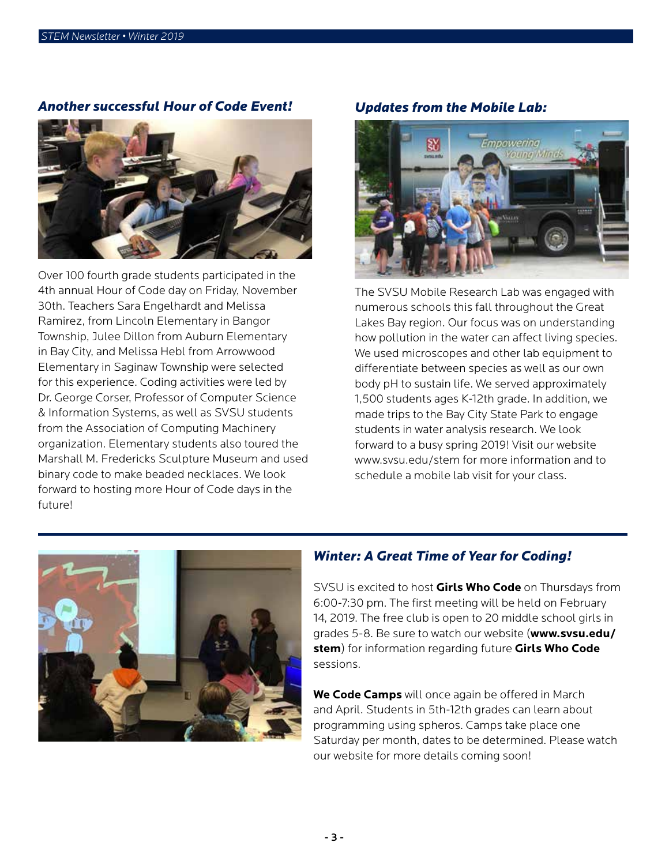*Another successful Hour of Code Event!*



Over 100 fourth grade students participated in the 4th annual Hour of Code day on Friday, November 30th. Teachers Sara Engelhardt and Melissa Ramirez, from Lincoln Elementary in Bangor Township, Julee Dillon from Auburn Elementary in Bay City, and Melissa Hebl from Arrowwood Elementary in Saginaw Township were selected for this experience. Coding activities were led by Dr. George Corser, Professor of Computer Science & Information Systems, as well as SVSU students from the Association of Computing Machinery organization. Elementary students also toured the Marshall M. Fredericks Sculpture Museum and used binary code to make beaded necklaces. We look forward to hosting more Hour of Code days in the future!

### *Updates from the Mobile Lab:*



The SVSU Mobile Research Lab was engaged with numerous schools this fall throughout the Great Lakes Bay region. Our focus was on understanding how pollution in the water can affect living species. We used microscopes and other lab equipment to differentiate between species as well as our own body pH to sustain life. We served approximately 1,500 students ages K-12th grade. In addition, we made trips to the Bay City State Park to engage students in water analysis research. We look forward to a busy spring 2019! Visit our website www.svsu.edu/stem for more information and to schedule a mobile lab visit for your class.



## *Winter: A Great Time of Year for Coding!*

SVSU is excited to host **Girls Who Code** on Thursdays from 6:00-7:30 pm. The first meeting will be held on February 14, 2019. The free club is open to 20 middle school girls in grades 5-8. Be sure to watch our website (**www.svsu.edu/ stem**) for information regarding future **Girls Who Code** sessions.

**We Code Camps** will once again be offered in March and April. Students in 5th-12th grades can learn about programming using spheros. Camps take place one Saturday per month, dates to be determined. Please watch our website for more details coming soon!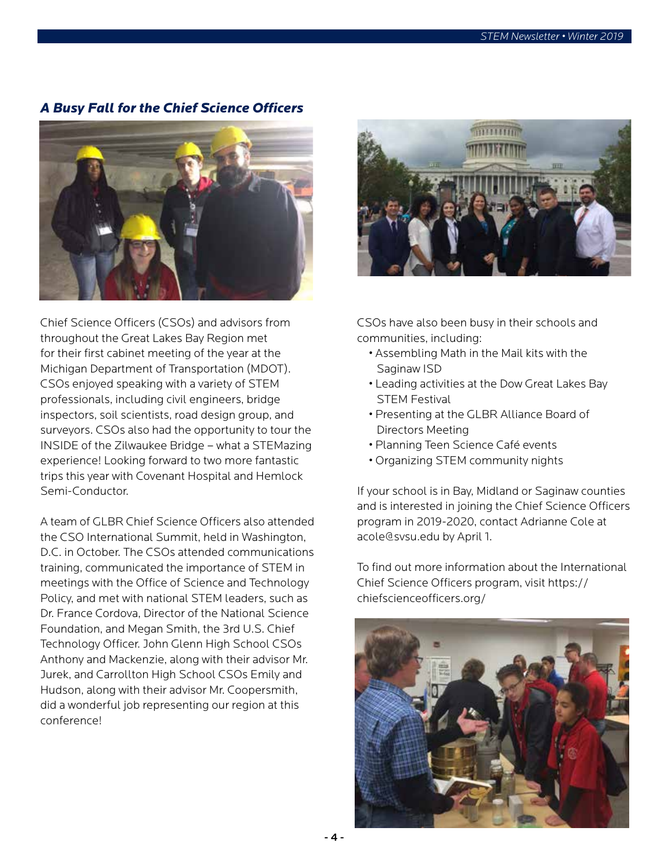

## *A Busy Fall for the Chief Science Officers*



A team of GLBR Chief Science Officers also attended the CSO International Summit, held in Washington, D.C. in October. The CSOs attended communications training, communicated the importance of STEM in meetings with the Office of Science and Technology Policy, and met with national STEM leaders, such as Dr. France Cordova, Director of the National Science Foundation, and Megan Smith, the 3rd U.S. Chief Technology Officer. John Glenn High School CSOs Anthony and Mackenzie, along with their advisor Mr. Jurek, and Carrollton High School CSOs Emily and Hudson, along with their advisor Mr. Coopersmith, did a wonderful job representing our region at this conference!



CSOs have also been busy in their schools and communities, including:

- Assembling Math in the Mail kits with the Saginaw ISD
- Leading activities at the Dow Great Lakes Bay STEM Festival
- Presenting at the GLBR Alliance Board of Directors Meeting
- Planning Teen Science Café events
- Organizing STEM community nights

If your school is in Bay, Midland or Saginaw counties and is interested in joining the Chief Science Officers program in 2019-2020, contact Adrianne Cole at acole@svsu.edu by April 1.

To find out more information about the International Chief Science Officers program, visit https:// chiefscienceofficers.org/

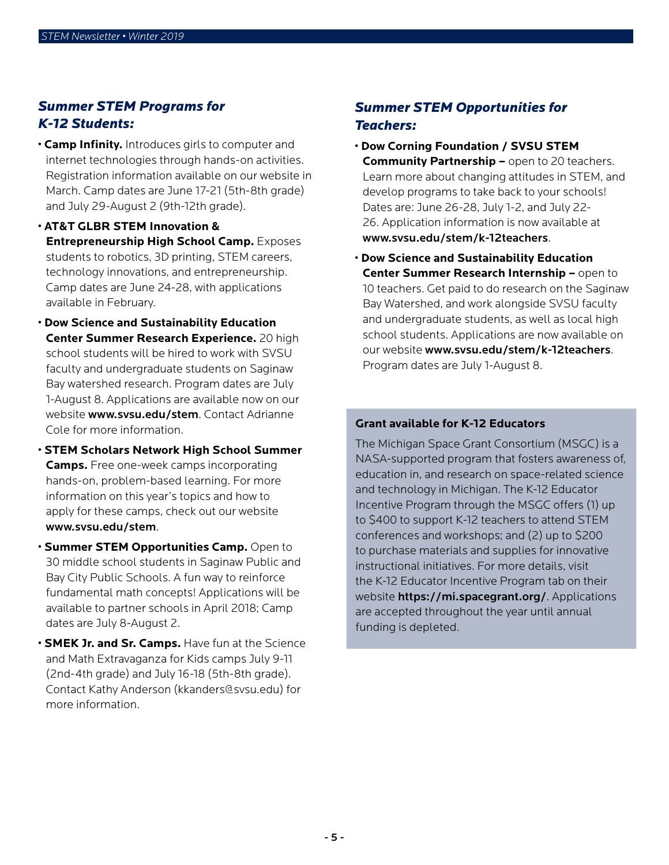# *Summer STEM Programs for K-12 Students:*

- **Camp Infinity.** Introduces girls to computer and internet technologies through hands-on activities. Registration information available on our website in March. Camp dates are June 17-21 (5th-8th grade) and July 29-August 2 (9th-12th grade).
- **AT&T GLBR STEM Innovation & Entrepreneurship High School Camp.** Exposes students to robotics, 3D printing, STEM careers, technology innovations, and entrepreneurship. Camp dates are June 24-28, with applications available in February.
- **Dow Science and Sustainability Education Center Summer Research Experience.** 20 high school students will be hired to work with SVSU faculty and undergraduate students on Saginaw Bay watershed research. Program dates are July 1-August 8. Applications are available now on our website www.svsu.edu/stem. Contact Adrianne Cole for more information.
- **STEM Scholars Network High School Summer Camps.** Free one-week camps incorporating hands-on, problem-based learning. For more information on this year's topics and how to apply for these camps, check out our website www.svsu.edu/stem.
- **Summer STEM Opportunities Camp.** Open to 30 middle school students in Saginaw Public and Bay City Public Schools. A fun way to reinforce fundamental math concepts! Applications will be available to partner schools in April 2018; Camp dates are July 8-August 2.
- **SMEK Jr. and Sr. Camps.** Have fun at the Science and Math Extravaganza for Kids camps July 9-11 (2nd-4th grade) and July 16-18 (5th-8th grade). Contact Kathy Anderson (kkanders@svsu.edu) for more information.

# *Summer STEM Opportunities for Teachers:*

- **Dow Corning Foundation / SVSU STEM Community Partnership –** open to 20 teachers. Learn more about changing attitudes in STEM, and develop programs to take back to your schools! Dates are: June 26-28, July 1-2, and July 22- 26. Application information is now available at www.svsu.edu/stem/k-12teachers.
- **Dow Science and Sustainability Education Center Summer Research Internship –** open to 10 teachers. Get paid to do research on the Saginaw Bay Watershed, and work alongside SVSU faculty and undergraduate students, as well as local high school students. Applications are now available on our website www.svsu.edu/stem/k-12teachers. Program dates are July 1-August 8.

### **Grant available for K-12 Educators**

The Michigan Space Grant Consortium (MSGC) is a NASA-supported program that fosters awareness of, education in, and research on space-related science and technology in Michigan. The K-12 Educator Incentive Program through the MSGC offers (1) up to \$400 to support K-12 teachers to attend STEM conferences and workshops; and (2) up to \$200 to purchase materials and supplies for innovative instructional initiatives. For more details, visit the K-12 Educator Incentive Program tab on their website https://mi.spacegrant.org/. Applications are accepted throughout the year until annual funding is depleted.